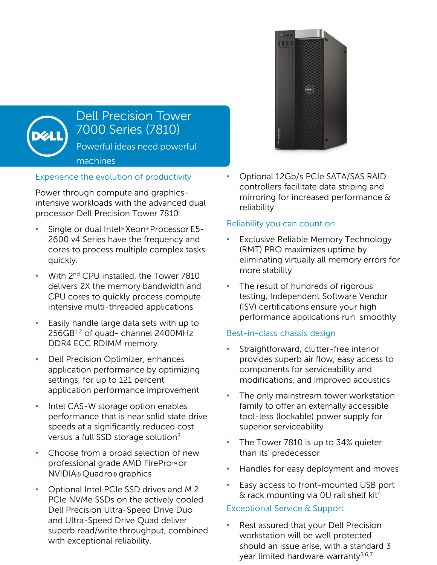

# Dell Precision Tower 7000 Series (7810) Powerful ideas need powerful

machines

# Experience the evolution of productivity

Power through compute and graphicsintensive workloads with the advanced dual processor Dell Precision Tower 7810:

- Single or dual Intel® Xeon® Processor E5- 2600 v4 Series have the frequency and cores to process multiple complex tasks quickly.
- With 2<sup>nd</sup> CPU installed, the Tower 7810 delivers 2X the memory bandwidth and CPU cores to quickly process compute intensive multi-threaded applications
- Easily handle large data sets with up to 256GB1,2 of quad- channel 2400MHz DDR4 ECC RDIMM memory
- Dell Precision Optimizer, enhances application performance by optimizing settings, for up to 121 percent application performance improvement
- Intel CAS-W storage option enables performance that is near solid state drive speeds at a significantly reduced cost versus a full SSD storage solution<sup>3</sup>
- Choose from a broad selection of new professional grade AMD FirePro™ or NVIDIA® Quadro® graphics
- Optional Intel PCIe SSD drives and M.2 PCIe NVMe SSDs on the actively cooled Dell Precision Ultra-Speed Drive Duo and Ultra-Speed Drive Quad deliver superb read/write throughput, combined with exceptional reliability.



### Reliability you can count on

- **Exclusive Reliable Memory Technology** (RMT) PRO maximizes uptime by eliminating virtually all memory errors for more stability
- The result of hundreds of rigorous testing, Independent Software Vendor (ISV) certifications ensure your high performance applications run smoothly

# Best-in-class chassis design

- Straightforward, clutter-free interior provides superb air flow, easy access to components for serviceability and modifications, and improved acoustics
- The only mainstream tower workstation family to offer an externally accessible tool-less (lockable) power supply for superior serviceability
- The Tower 7810 is up to 34% quieter than its' predecessor
- Handles for easy deployment and moves
- Easy access to front-mounted USB port & rack mounting via 0U rail shelf kit<sup>4</sup>

# Exceptional Service & Support

• Rest assured that your Dell Precision workstation will be well protected should an issue arise, with a standard 3 year limited hardware warranty<sup>5,6,7</sup>